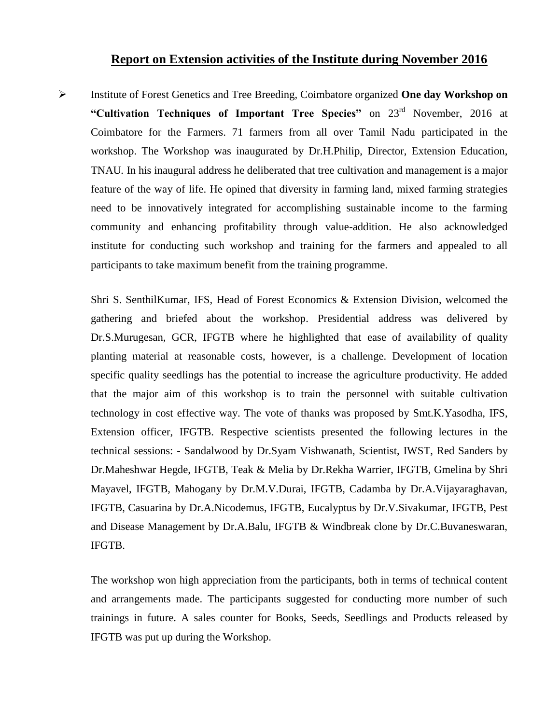## **Report on Extension activities of the Institute during November 2016**

 Institute of Forest Genetics and Tree Breeding, Coimbatore organized **One day Workshop on "Cultivation Techniques of Important Tree Species"** on 23rd November, 2016 at Coimbatore for the Farmers. 71 farmers from all over Tamil Nadu participated in the workshop. The Workshop was inaugurated by Dr.H.Philip, Director, Extension Education, TNAU*.* In his inaugural address he deliberated that tree cultivation and management is a major feature of the way of life. He opined that diversity in farming land, mixed farming strategies need to be innovatively integrated for accomplishing sustainable income to the farming community and enhancing profitability through value-addition. He also acknowledged institute for conducting such workshop and training for the farmers and appealed to all participants to take maximum benefit from the training programme.

Shri S. SenthilKumar, IFS, Head of Forest Economics & Extension Division, welcomed the gathering and briefed about the workshop. Presidential address was delivered by Dr.S.Murugesan, GCR, IFGTB where he highlighted that ease of availability of quality planting material at reasonable costs, however, is a challenge. Development of location specific quality seedlings has the potential to increase the agriculture productivity. He added that the major aim of this workshop is to train the personnel with suitable cultivation technology in cost effective way. The vote of thanks was proposed by Smt.K.Yasodha, IFS, Extension officer, IFGTB. Respective scientists presented the following lectures in the technical sessions: - Sandalwood by Dr.Syam Vishwanath, Scientist, IWST, Red Sanders by Dr.Maheshwar Hegde, IFGTB, Teak & Melia by Dr.Rekha Warrier, IFGTB, Gmelina by Shri Mayavel, IFGTB, Mahogany by Dr.M.V.Durai, IFGTB, Cadamba by Dr.A.Vijayaraghavan, IFGTB, Casuarina by Dr.A.Nicodemus, IFGTB, Eucalyptus by Dr.V.Sivakumar, IFGTB, Pest and Disease Management by Dr.A.Balu, IFGTB & Windbreak clone by Dr.C.Buvaneswaran, IFGTB.

The workshop won high appreciation from the participants, both in terms of technical content and arrangements made. The participants suggested for conducting more number of such trainings in future. A sales counter for Books, Seeds, Seedlings and Products released by IFGTB was put up during the Workshop.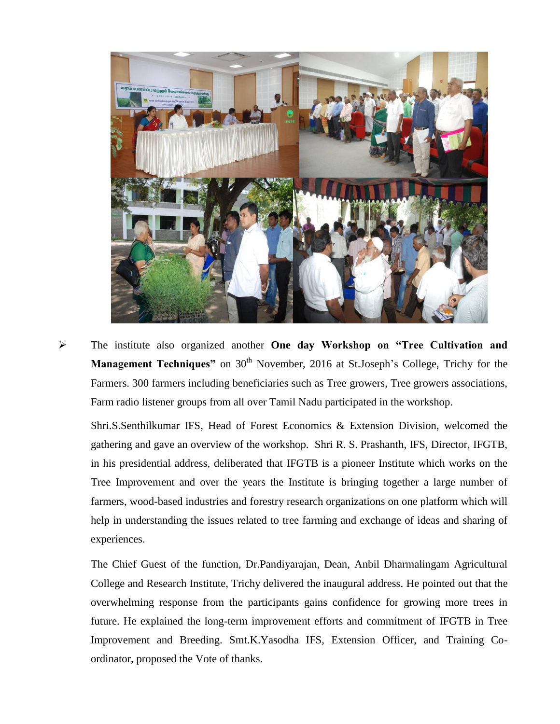

 The institute also organized another **One day Workshop on "Tree Cultivation and Management Techniques**" on 30<sup>th</sup> November, 2016 at St.Joseph's College, Trichy for the Farmers. 300 farmers including beneficiaries such as Tree growers, Tree growers associations, Farm radio listener groups from all over Tamil Nadu participated in the workshop.

Shri.S.Senthilkumar IFS, Head of Forest Economics & Extension Division, welcomed the gathering and gave an overview of the workshop. Shri R. S. Prashanth, IFS, Director, IFGTB, in his presidential address, deliberated that IFGTB is a pioneer Institute which works on the Tree Improvement and over the years the Institute is bringing together a large number of farmers, wood-based industries and forestry research organizations on one platform which will help in understanding the issues related to tree farming and exchange of ideas and sharing of experiences.

The Chief Guest of the function, Dr.Pandiyarajan, Dean, Anbil Dharmalingam Agricultural College and Research Institute, Trichy delivered the inaugural address. He pointed out that the overwhelming response from the participants gains confidence for growing more trees in future. He explained the long-term improvement efforts and commitment of IFGTB in Tree Improvement and Breeding. Smt.K.Yasodha IFS, Extension Officer, and Training Coordinator, proposed the Vote of thanks.